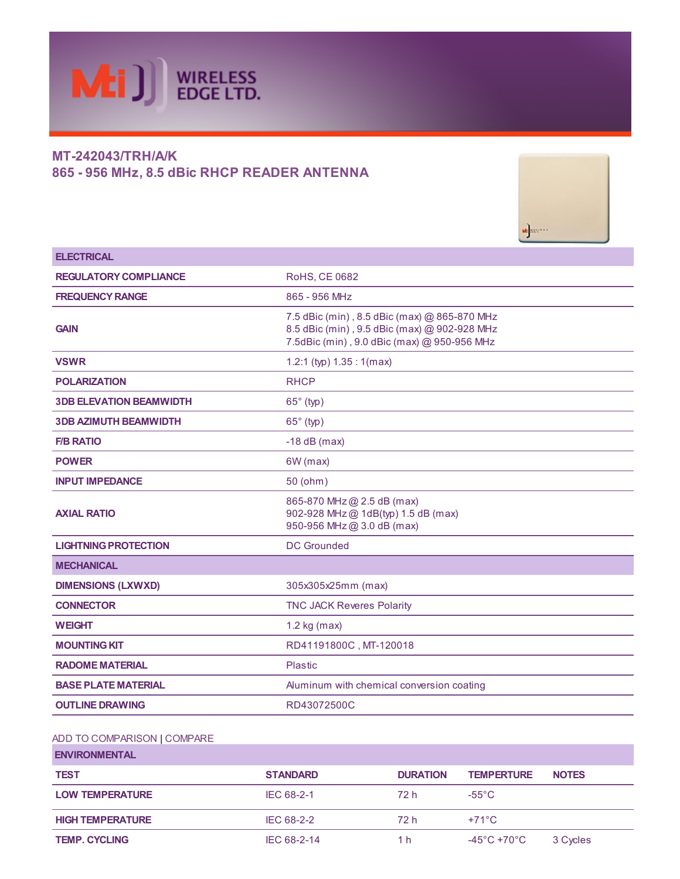

# MT-242043/TRH/A/K 865 - 956 MHz, 8.5 dBic RHCP READER ANTENNA



| <b>ELECTRICAL</b>              |                                                                                                                                             |
|--------------------------------|---------------------------------------------------------------------------------------------------------------------------------------------|
| <b>REGULATORY COMPLIANCE</b>   | <b>RoHS, CE 0682</b>                                                                                                                        |
| <b>FREQUENCY RANGE</b>         | 865 - 956 MHz                                                                                                                               |
| <b>GAIN</b>                    | 7.5 dBic (min), 8.5 dBic (max) @ 865-870 MHz<br>8.5 dBic (min), 9.5 dBic (max) @ 902-928 MHz<br>7.5dBic (min), 9.0 dBic (max) @ 950-956 MHz |
| <b>VSWR</b>                    | 1.2:1 (typ) $1.35:1$ (max)                                                                                                                  |
| <b>POLARIZATION</b>            | <b>RHCP</b>                                                                                                                                 |
| <b>3DB ELEVATION BEAMWIDTH</b> | $65^\circ$ (typ)                                                                                                                            |
| <b>3DB AZIMUTH BEAMWIDTH</b>   | $65^\circ$ (typ)                                                                                                                            |
| <b>F/B RATIO</b>               | $-18$ dB (max)                                                                                                                              |
| <b>POWER</b>                   | 6W (max)                                                                                                                                    |
| <b>INPUT IMPEDANCE</b>         | 50 (ohm)                                                                                                                                    |
| <b>AXIAL RATIO</b>             | 865-870 MHz @ 2.5 dB (max)<br>902-928 MHz @ 1dB(typ) 1.5 dB (max)<br>950-956 MHz@ 3.0 dB (max)                                              |
| <b>LIGHTNING PROTECTION</b>    | <b>DC</b> Grounded                                                                                                                          |
| <b>MECHANICAL</b>              |                                                                                                                                             |
| <b>DIMENSIONS (LXWXD)</b>      | 305x305x25mm (max)                                                                                                                          |
| <b>CONNECTOR</b>               | <b>TNC JACK Reveres Polarity</b>                                                                                                            |
| <b>WEIGHT</b>                  | $1.2$ kg (max)                                                                                                                              |
| <b>MOUNTING KIT</b>            | RD41191800C, MT-120018                                                                                                                      |
| <b>RADOME MATERIAL</b>         | Plastic                                                                                                                                     |
| <b>BASE PLATE MATERIAL</b>     | Aluminum with chemical conversion coating                                                                                                   |
| <b>OUTLINE DRAWING</b>         | RD43072500C                                                                                                                                 |

# ADD TO [COMPARISON](javascript:fnAddToCompareCart(276,279,) | [COMPARE](http://www.mtiwe.com/?pg=compare&CategoryID=276)

| <b>ENVIRONMENTAL</b>    |                 |                 |                   |              |
|-------------------------|-----------------|-----------------|-------------------|--------------|
| <b>TEST</b>             | <b>STANDARD</b> | <b>DURATION</b> | <b>TEMPERTURE</b> | <b>NOTES</b> |
| <b>LOW TEMPERATURE</b>  | IEC 68-2-1      | 72 h            | $-55^{\circ}$ C   |              |
| <b>HIGH TEMPERATURE</b> | IEC 68-2-2      | 72 h            | $+71^{\circ}$ C   |              |
| <b>TEMP. CYCLING</b>    | IEC 68-2-14     | 1 h             | -45°C +70°C       | 3 Cycles     |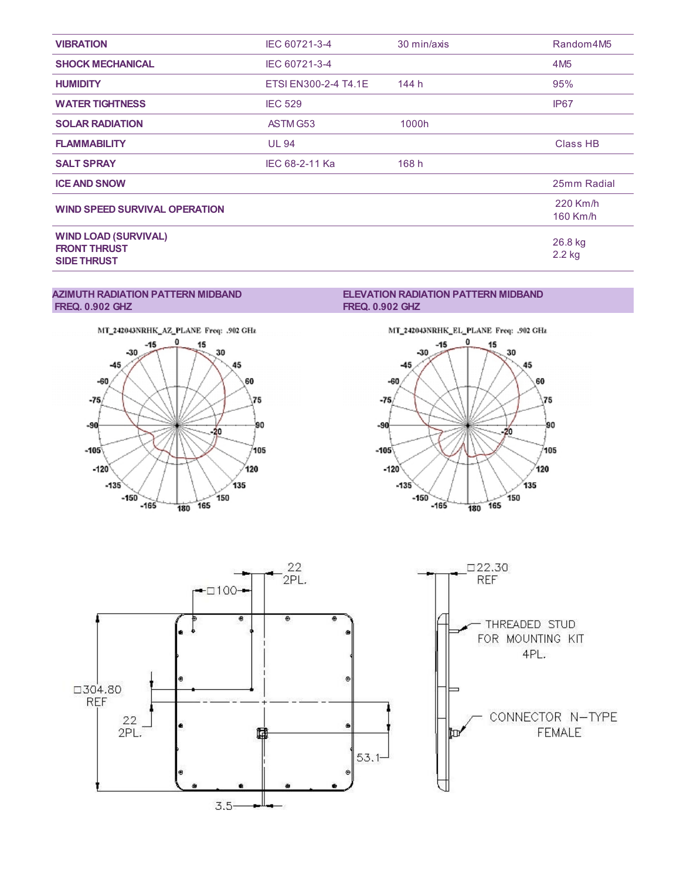| <b>VIBRATION</b>                                                         | IEC 60721-3-4        | 30 min/axis | Random4M5            |
|--------------------------------------------------------------------------|----------------------|-------------|----------------------|
| <b>SHOCK MECHANICAL</b>                                                  | IEC 60721-3-4        |             | 4M <sub>5</sub>      |
| <b>HUMIDITY</b>                                                          | ETSI EN300-2-4 T4.1E | 144 h       | 95%                  |
| <b>WATER TIGHTNESS</b>                                                   | <b>IEC 529</b>       |             | IP <sub>67</sub>     |
| <b>SOLAR RADIATION</b>                                                   | ASTM G53             | 1000h       |                      |
| <b>FLAMMABILITY</b>                                                      | <b>UL 94</b>         |             | <b>Class HB</b>      |
| <b>SALT SPRAY</b>                                                        | IEC 68-2-11 Ka       | 168h        |                      |
| <b>ICE AND SNOW</b>                                                      |                      |             | 25mm Radial          |
| <b>WIND SPEED SURVIVAL OPERATION</b>                                     |                      |             | 220 Km/h<br>160 Km/h |
| <b>WIND LOAD (SURVIVAL)</b><br><b>FRONT THRUST</b><br><b>SIDE THRUST</b> |                      |             | 26.8 kg<br>2.2 kg    |

#### AZIMUTH RADIATION PATTERN MIDBAND FREQ. 0.902 GHZ



### ELEVATION RADIATION PATTERN MIDBAND FREQ. 0.902 GHZ